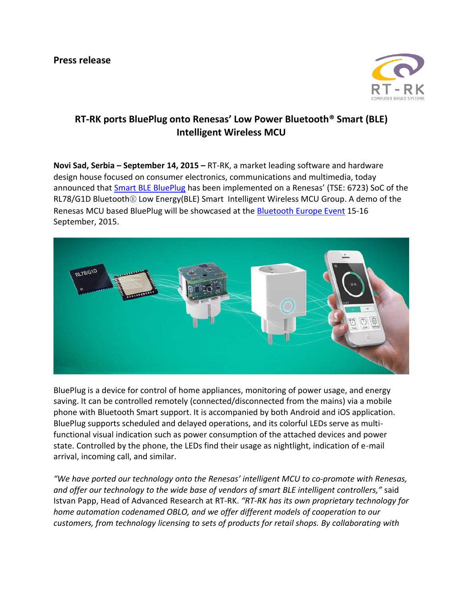

## **RT-RK ports BluePlug onto Renesas' Low Power Bluetooth® Smart (BLE) Intelligent Wireless MCU**

**Novi Sad, Serbia – September 14, 2015 –** RT-RK, a market leading software and hardware design house focused on consumer electronics, communications and multimedia, today announced that **Smart BLE BluePlug** has been implemented on a Renesas' (TSE: 6723) SoC of the RL78/G1D Bluetooth® Low Energy(BLE) Smart Intelligent Wireless MCU Group. A demo of the Renesas MCU based BluePlug will be showcased at the [Bluetooth Europe Event](http://bluetootheuropeevent.com/) 15-16 September, 2015.



BluePlug is a device for control of home appliances, monitoring of power usage, and energy saving. It can be controlled remotely (connected/disconnected from the mains) via a mobile phone with Bluetooth Smart support. It is accompanied by both Android and iOS application. BluePlug supports scheduled and delayed operations, and its colorful LEDs serve as multifunctional visual indication such as power consumption of the attached devices and power state. Controlled by the phone, the LEDs find their usage as nightlight, indication of e-mail arrival, incoming call, and similar.

*"We have ported our technology onto the Renesas' intelligent MCU to co-promote with Renesas, and offer our technology to the wide base of vendors of smart BLE intelligent controllers,"* said Istvan Papp, Head of Advanced Research at RT-RK. *"RT-RK has its own proprietary technology for home automation codenamed OBLO, and we offer different models of cooperation to our customers, from technology licensing to sets of products for retail shops. By collaborating with*